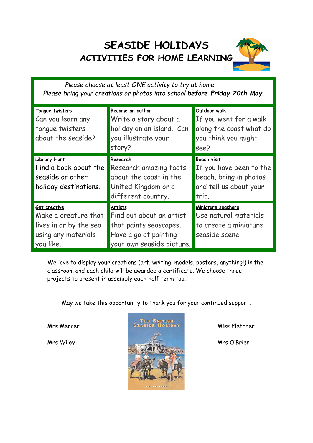## **SEASIDE HOLIDAYS ACTIVITIES FOR HOME LEARNING**



*Please choose at least ONE activity to try at home. Please bring your creations or photos into school before Friday 20th May.*

| Tonque twisters<br>Can you learn any<br>tonque twisters<br>about the seaside?                      | Become an author<br>Write a story about a<br>holiday on an island. Can<br>you illustrate your<br>story?                    | Outdoor walk<br>If you went for a walk<br>along the coast what do<br>you think you might<br>see?           |
|----------------------------------------------------------------------------------------------------|----------------------------------------------------------------------------------------------------------------------------|------------------------------------------------------------------------------------------------------------|
| <b>Library Hunt</b><br>Find a book about the<br>seaside or other<br>holiday destinations.          | Research<br>Research amazing facts<br>about the coast in the<br>United Kingdom or a<br>different country.                  | <b>Beach visit</b><br>If you have been to the<br>beach, bring in photos<br>and tell us about your<br>trip. |
| Get creative<br>Make a creature that<br>lives in or by the sea<br>using any materials<br>you like. | <b>Artists</b><br>Find out about an artist<br>that paints seascapes.<br>Have a go at painting<br>your own seaside picture. | Miniature seashore<br>Use natural materials<br>to create a miniature<br>seaside scene.                     |

We love to display your creations (art, writing, models, posters, anything!) in the classroom and each child will be awarded a certificate. We choose three projects to present in assembly each half term too.

May we take this opportunity to thank you for your continued support.